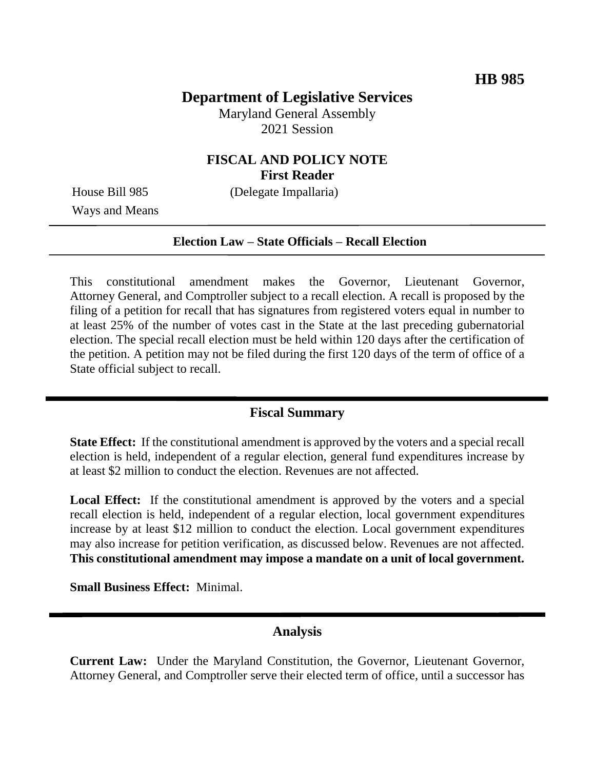# **Department of Legislative Services**

Maryland General Assembly 2021 Session

### **FISCAL AND POLICY NOTE First Reader**

Ways and Means

House Bill 985 (Delegate Impallaria)

#### **Election Law – State Officials – Recall Election**

This constitutional amendment makes the Governor, Lieutenant Governor, Attorney General, and Comptroller subject to a recall election. A recall is proposed by the filing of a petition for recall that has signatures from registered voters equal in number to at least 25% of the number of votes cast in the State at the last preceding gubernatorial election. The special recall election must be held within 120 days after the certification of the petition. A petition may not be filed during the first 120 days of the term of office of a State official subject to recall.

### **Fiscal Summary**

**State Effect:** If the constitutional amendment is approved by the voters and a special recall election is held, independent of a regular election, general fund expenditures increase by at least \$2 million to conduct the election. Revenues are not affected.

Local Effect: If the constitutional amendment is approved by the voters and a special recall election is held, independent of a regular election, local government expenditures increase by at least \$12 million to conduct the election. Local government expenditures may also increase for petition verification, as discussed below. Revenues are not affected. **This constitutional amendment may impose a mandate on a unit of local government.**

**Small Business Effect:** Minimal.

### **Analysis**

**Current Law:** Under the Maryland Constitution, the Governor, Lieutenant Governor, Attorney General, and Comptroller serve their elected term of office, until a successor has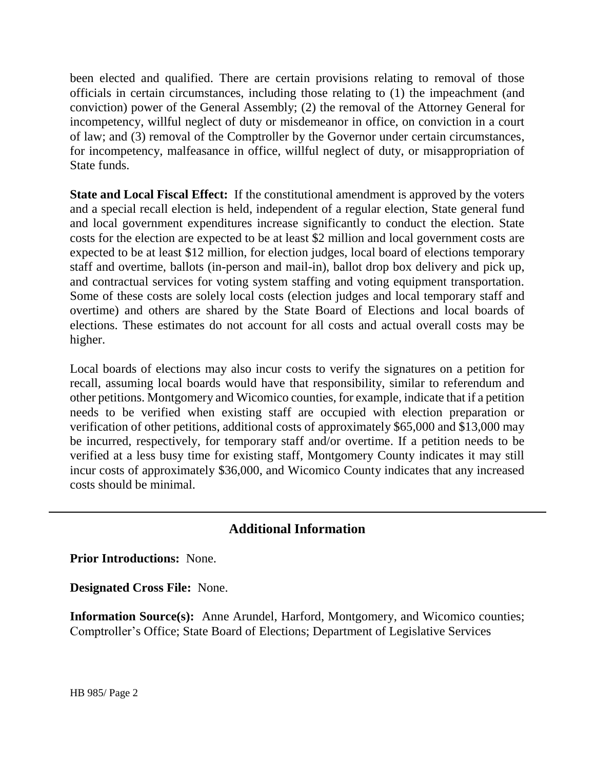been elected and qualified. There are certain provisions relating to removal of those officials in certain circumstances, including those relating to (1) the impeachment (and conviction) power of the General Assembly; (2) the removal of the Attorney General for incompetency, willful neglect of duty or misdemeanor in office, on conviction in a court of law; and (3) removal of the Comptroller by the Governor under certain circumstances, for incompetency, malfeasance in office, willful neglect of duty, or misappropriation of State funds.

**State and Local Fiscal Effect:** If the constitutional amendment is approved by the voters and a special recall election is held, independent of a regular election, State general fund and local government expenditures increase significantly to conduct the election. State costs for the election are expected to be at least \$2 million and local government costs are expected to be at least \$12 million, for election judges, local board of elections temporary staff and overtime, ballots (in-person and mail-in), ballot drop box delivery and pick up, and contractual services for voting system staffing and voting equipment transportation. Some of these costs are solely local costs (election judges and local temporary staff and overtime) and others are shared by the State Board of Elections and local boards of elections. These estimates do not account for all costs and actual overall costs may be higher.

Local boards of elections may also incur costs to verify the signatures on a petition for recall, assuming local boards would have that responsibility, similar to referendum and other petitions. Montgomery and Wicomico counties, for example, indicate that if a petition needs to be verified when existing staff are occupied with election preparation or verification of other petitions, additional costs of approximately \$65,000 and \$13,000 may be incurred, respectively, for temporary staff and/or overtime. If a petition needs to be verified at a less busy time for existing staff, Montgomery County indicates it may still incur costs of approximately \$36,000, and Wicomico County indicates that any increased costs should be minimal.

## **Additional Information**

**Prior Introductions:** None.

**Designated Cross File:** None.

**Information Source(s):** Anne Arundel, Harford, Montgomery, and Wicomico counties; Comptroller's Office; State Board of Elections; Department of Legislative Services